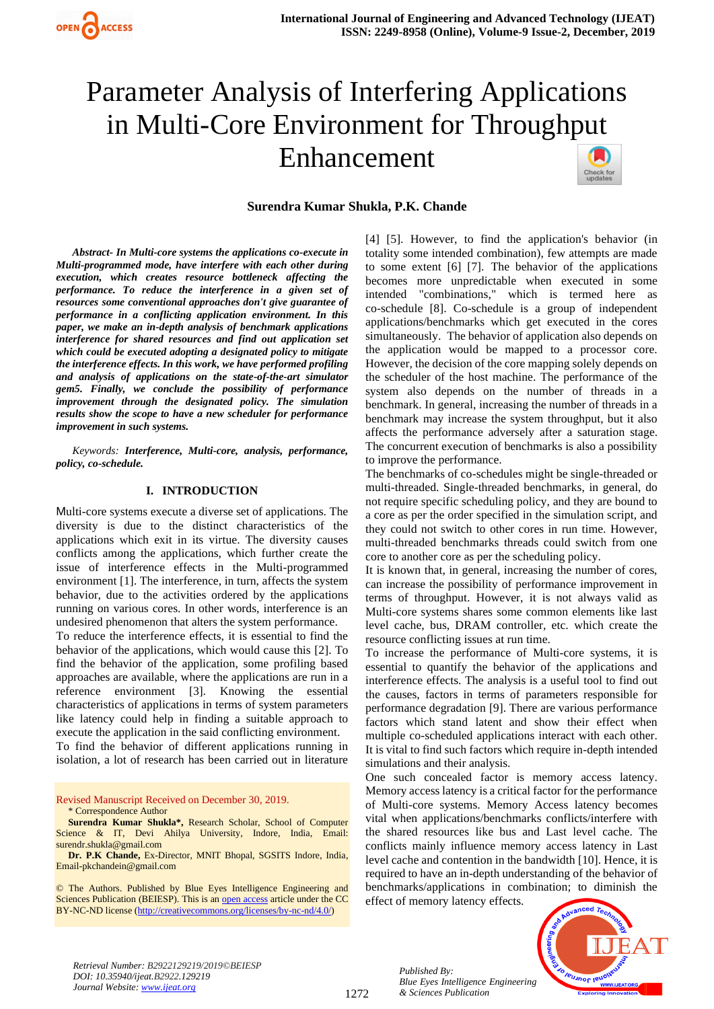

# Parameter Analysis of Interfering Applications in Multi-Core Environment for Throughput Enhancement



#### **Surendra Kumar Shukla, P.K. Chande**

*Abstract- In Multi-core systems the applications co-execute in Multi-programmed mode, have interfere with each other during execution, which creates resource bottleneck affecting the performance. To reduce the interference in a given set of resources some conventional approaches don't give guarantee of performance in a conflicting application environment. In this paper, we make an in-depth analysis of benchmark applications interference for shared resources and find out application set which could be executed adopting a designated policy to mitigate the interference effects. In this work, we have performed profiling and analysis of applications on the state-of-the-art simulator gem5. Finally, we conclude the possibility of performance improvement through the designated policy. The simulation results show the scope to have a new scheduler for performance improvement in such systems.* 

*Keywords: Interference, Multi-core, analysis, performance, policy, co-schedule.*

#### **I. INTRODUCTION**

Multi-core systems execute a diverse set of applications. The diversity is due to the distinct characteristics of the applications which exit in its virtue. The diversity causes conflicts among the applications, which further create the issue of interference effects in the Multi-programmed environment [1]. The interference, in turn, affects the system behavior, due to the activities ordered by the applications running on various cores. In other words, interference is an undesired phenomenon that alters the system performance.

To reduce the interference effects, it is essential to find the behavior of the applications, which would cause this [2]. To find the behavior of the application, some profiling based approaches are available, where the applications are run in a reference environment [3]. Knowing the essential characteristics of applications in terms of system parameters like latency could help in finding a suitable approach to execute the application in the said conflicting environment.

To find the behavior of different applications running in isolation, a lot of research has been carried out in literature

Revised Manuscript Received on December 30, 2019. \* Correspondence Author

**Surendra Kumar Shukla\*,** Research Scholar, School of Computer Science & IT, Devi Ahilya University, Indore, India, Email: surendr.shukla@gmail.com

**Dr. P.K Chande,** Ex-Director, MNIT Bhopal, SGSITS Indore, India, Email-pkchandein@gmail.com

© The Authors. Published by Blue Eyes Intelligence Engineering and Sciences Publication (BEIESP). This is a[n open access](https://www.openaccess.nl/en/open-publications) article under the CC BY-NC-ND license [\(http://creativecommons.org/licenses/by-nc-nd/4.0/\)](http://creativecommons.org/licenses/by-nc-nd/4.0/)

[4] [5]. However, to find the application's behavior (in totality some intended combination), few attempts are made to some extent [6] [7]. The behavior of the applications becomes more unpredictable when executed in some intended "combinations," which is termed here as co-schedule [8]. Co-schedule is a group of independent applications/benchmarks which get executed in the cores simultaneously. The behavior of application also depends on the application would be mapped to a processor core. However, the decision of the core mapping solely depends on the scheduler of the host machine. The performance of the system also depends on the number of threads in a benchmark. In general, increasing the number of threads in a benchmark may increase the system throughput, but it also affects the performance adversely after a saturation stage. The concurrent execution of benchmarks is also a possibility to improve the performance.

The benchmarks of co-schedules might be single-threaded or multi-threaded. Single-threaded benchmarks, in general, do not require specific scheduling policy, and they are bound to a core as per the order specified in the simulation script, and they could not switch to other cores in run time. However, multi-threaded benchmarks threads could switch from one core to another core as per the scheduling policy.

It is known that, in general, increasing the number of cores, can increase the possibility of performance improvement in terms of throughput. However, it is not always valid as Multi-core systems shares some common elements like last level cache, bus, DRAM controller, etc. which create the resource conflicting issues at run time.

To increase the performance of Multi-core systems, it is essential to quantify the behavior of the applications and interference effects. The analysis is a useful tool to find out the causes, factors in terms of parameters responsible for performance degradation [9]. There are various performance factors which stand latent and show their effect when multiple co-scheduled applications interact with each other. It is vital to find such factors which require in-depth intended simulations and their analysis.

One such concealed factor is memory access latency. Memory access latency is a critical factor for the performance of Multi-core systems. Memory Access latency becomes vital when applications/benchmarks conflicts/interfere with the shared resources like bus and Last level cache. The conflicts mainly influence memory access latency in Last level cache and contention in the bandwidth [10]. Hence, it is required to have an in-depth understanding of the behavior of benchmarks/applications in combination; to diminish the effect of memory latency effects.



*Retrieval Number: B2922129219/2019©BEIESP DOI: 10.35940/ijeat.B2922.129219 Journal Website: [www.ijeat.org](http://www.ijeat.org/)*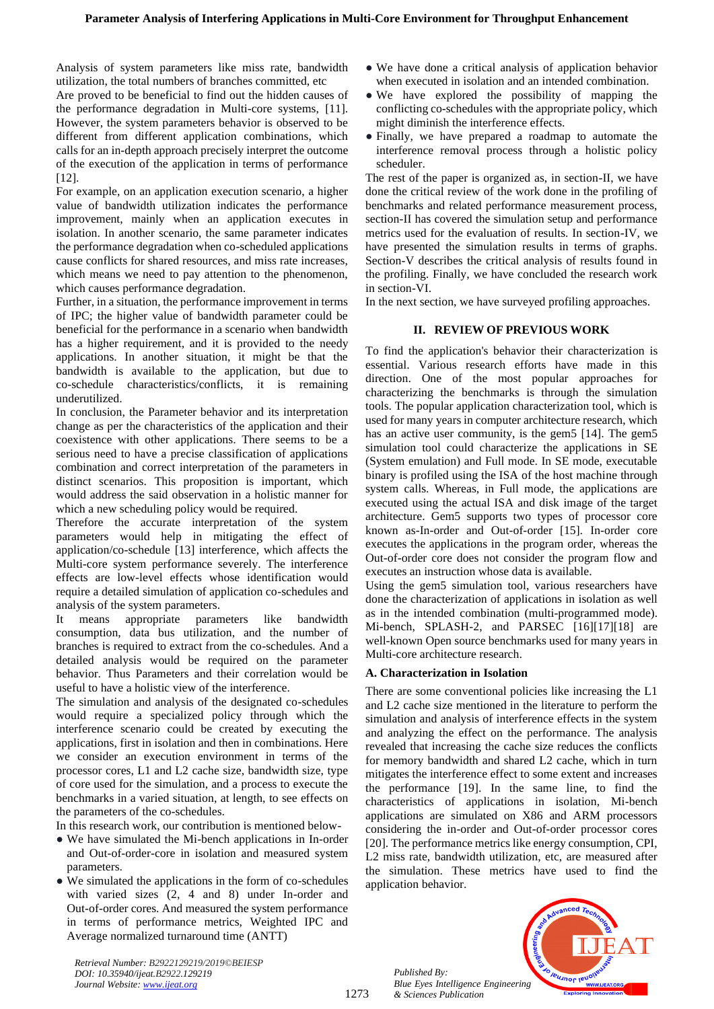Analysis of system parameters like miss rate, bandwidth utilization, the total numbers of branches committed, etc

Are proved to be beneficial to find out the hidden causes of the performance degradation in Multi-core systems, [11]. However, the system parameters behavior is observed to be different from different application combinations, which calls for an in-depth approach precisely interpret the outcome of the execution of the application in terms of performance [12].

For example, on an application execution scenario, a higher value of bandwidth utilization indicates the performance improvement, mainly when an application executes in isolation. In another scenario, the same parameter indicates the performance degradation when co-scheduled applications cause conflicts for shared resources, and miss rate increases, which means we need to pay attention to the phenomenon, which causes performance degradation.

Further, in a situation, the performance improvement in terms of IPC; the higher value of bandwidth parameter could be beneficial for the performance in a scenario when bandwidth has a higher requirement, and it is provided to the needy applications. In another situation, it might be that the bandwidth is available to the application, but due to co-schedule characteristics/conflicts, it is remaining underutilized.

In conclusion, the Parameter behavior and its interpretation change as per the characteristics of the application and their coexistence with other applications. There seems to be a serious need to have a precise classification of applications combination and correct interpretation of the parameters in distinct scenarios. This proposition is important, which would address the said observation in a holistic manner for which a new scheduling policy would be required.

Therefore the accurate interpretation of the system parameters would help in mitigating the effect of application/co-schedule [13] interference, which affects the Multi-core system performance severely. The interference effects are low-level effects whose identification would require a detailed simulation of application co-schedules and analysis of the system parameters.

It means appropriate parameters like bandwidth consumption, data bus utilization, and the number of branches is required to extract from the co-schedules. And a detailed analysis would be required on the parameter behavior. Thus Parameters and their correlation would be useful to have a holistic view of the interference.

The simulation and analysis of the designated co-schedules would require a specialized policy through which the interference scenario could be created by executing the applications, first in isolation and then in combinations. Here we consider an execution environment in terms of the processor cores, L1 and L2 cache size, bandwidth size, type of core used for the simulation, and a process to execute the benchmarks in a varied situation, at length, to see effects on the parameters of the co-schedules.

In this research work, our contribution is mentioned below-

- We have simulated the Mi-bench applications in In-order and Out-of-order-core in isolation and measured system parameters.
- We simulated the applications in the form of co-schedules with varied sizes (2, 4 and 8) under In-order and Out-of-order cores. And measured the system performance in terms of performance metrics, Weighted IPC and Average normalized turnaround time (ANTT)

*Retrieval Number: B2922129219/2019©BEIESP*

*DOI: 10.35940/ijeat.B2922.129219 Journal Website[: www.ijeat.org](http://www.ijeat.org/)*

- We have done a critical analysis of application behavior when executed in isolation and an intended combination.
- We have explored the possibility of mapping the conflicting co-schedules with the appropriate policy, which might diminish the interference effects.
- Finally, we have prepared a roadmap to automate the interference removal process through a holistic policy scheduler.

The rest of the paper is organized as, in section-II, we have done the critical review of the work done in the profiling of benchmarks and related performance measurement process, section-II has covered the simulation setup and performance metrics used for the evaluation of results. In section-IV, we have presented the simulation results in terms of graphs. Section-V describes the critical analysis of results found in the profiling. Finally, we have concluded the research work in section-VI.

In the next section, we have surveyed profiling approaches.

## **II. REVIEW OF PREVIOUS WORK**

To find the application's behavior their characterization is essential. Various research efforts have made in this direction. One of the most popular approaches for characterizing the benchmarks is through the simulation tools. The popular application characterization tool, which is used for many years in computer architecture research, which has an active user community, is the gem5 [14]. The gem5 simulation tool could characterize the applications in SE (System emulation) and Full mode. In SE mode, executable binary is profiled using the ISA of the host machine through system calls. Whereas, in Full mode, the applications are executed using the actual ISA and disk image of the target architecture. Gem5 supports two types of processor core known as-In-order and Out-of-order [15]. In-order core executes the applications in the program order, whereas the Out-of-order core does not consider the program flow and executes an instruction whose data is available.

Using the gem5 simulation tool, various researchers have done the characterization of applications in isolation as well as in the intended combination (multi-programmed mode). Mi-bench, SPLASH-2, and PARSEC [16][17][18] are well-known Open source benchmarks used for many years in Multi-core architecture research.

#### **A. Characterization in Isolation**

There are some conventional policies like increasing the L1 and L2 cache size mentioned in the literature to perform the simulation and analysis of interference effects in the system and analyzing the effect on the performance. The analysis revealed that increasing the cache size reduces the conflicts for memory bandwidth and shared L2 cache, which in turn mitigates the interference effect to some extent and increases the performance [19]. In the same line, to find the characteristics of applications in isolation, Mi-bench applications are simulated on X86 and ARM processors considering the in-order and Out-of-order processor cores [20]. The performance metrics like energy consumption, CPI, L2 miss rate, bandwidth utilization, etc, are measured after the simulation. These metrics have used to find the application behavior.

*Published By: Blue Eyes Intelligence Engineering & Sciences Publication* 

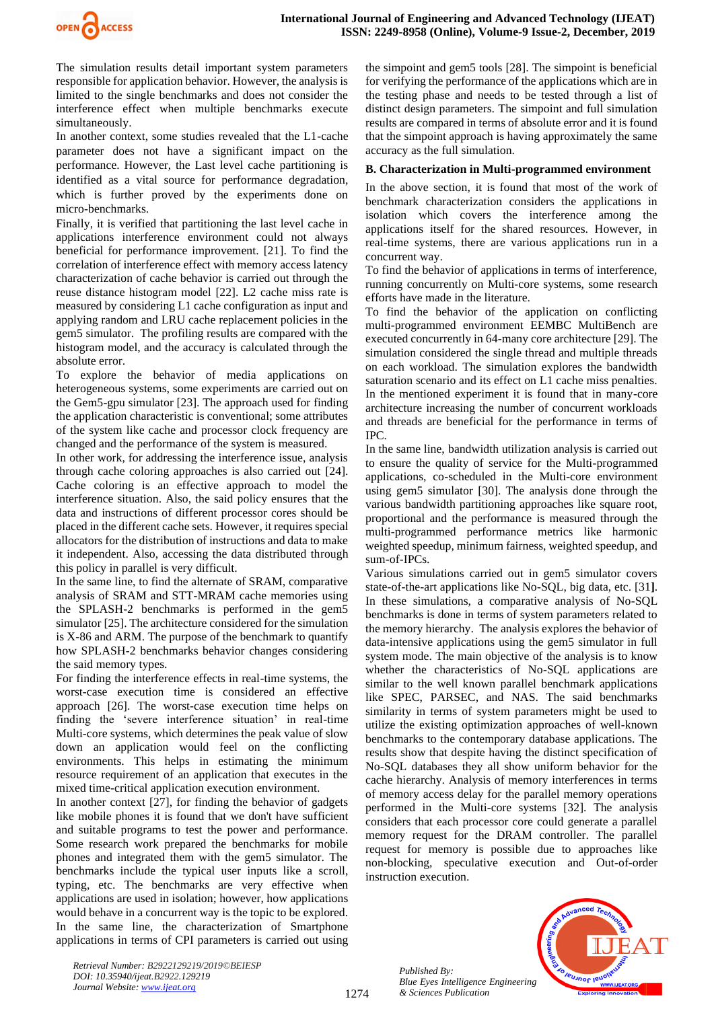

The simulation results detail important system parameters responsible for application behavior. However, the analysis is limited to the single benchmarks and does not consider the interference effect when multiple benchmarks execute simultaneously.

In another context, some studies revealed that the L1-cache parameter does not have a significant impact on the performance. However, the Last level cache partitioning is identified as a vital source for performance degradation, which is further proved by the experiments done on micro-benchmarks.

Finally, it is verified that partitioning the last level cache in applications interference environment could not always beneficial for performance improvement. [21]. To find the correlation of interference effect with memory access latency characterization of cache behavior is carried out through the reuse distance histogram model [22]. L2 cache miss rate is measured by considering L1 cache configuration as input and applying random and LRU cache replacement policies in the gem5 simulator. The profiling results are compared with the histogram model, and the accuracy is calculated through the absolute error.

To explore the behavior of media applications on heterogeneous systems, some experiments are carried out on the Gem5-gpu simulator [23]. The approach used for finding the application characteristic is conventional; some attributes of the system like cache and processor clock frequency are changed and the performance of the system is measured.

In other work, for addressing the interference issue, analysis through cache coloring approaches is also carried out [24]. Cache coloring is an effective approach to model the interference situation. Also, the said policy ensures that the data and instructions of different processor cores should be placed in the different cache sets. However, it requires special allocators for the distribution of instructions and data to make it independent. Also, accessing the data distributed through this policy in parallel is very difficult.

In the same line, to find the alternate of SRAM, comparative analysis of SRAM and STT-MRAM cache memories using the SPLASH-2 benchmarks is performed in the gem5 simulator [25]. The architecture considered for the simulation is X-86 and ARM. The purpose of the benchmark to quantify how SPLASH-2 benchmarks behavior changes considering the said memory types.

For finding the interference effects in real-time systems, the worst-case execution time is considered an effective approach [26]. The worst-case execution time helps on finding the 'severe interference situation' in real-time Multi-core systems, which determines the peak value of slow down an application would feel on the conflicting environments. This helps in estimating the minimum resource requirement of an application that executes in the mixed time-critical application execution environment.

In another context [27], for finding the behavior of gadgets like mobile phones it is found that we don't have sufficient and suitable programs to test the power and performance. Some research work prepared the benchmarks for mobile phones and integrated them with the gem5 simulator. The benchmarks include the typical user inputs like a scroll, typing, etc. The benchmarks are very effective when applications are used in isolation; however, how applications would behave in a concurrent way is the topic to be explored. In the same line, the characterization of Smartphone applications in terms of CPI parameters is carried out using

the simpoint and gem5 tools [28]. The simpoint is beneficial for verifying the performance of the applications which are in the testing phase and needs to be tested through a list of distinct design parameters. The simpoint and full simulation results are compared in terms of absolute error and it is found that the simpoint approach is having approximately the same accuracy as the full simulation.

#### **B. Characterization in Multi-programmed environment**

In the above section, it is found that most of the work of benchmark characterization considers the applications in isolation which covers the interference among the applications itself for the shared resources. However, in real-time systems, there are various applications run in a concurrent way.

To find the behavior of applications in terms of interference, running concurrently on Multi-core systems, some research efforts have made in the literature.

To find the behavior of the application on conflicting multi-programmed environment EEMBC MultiBench are executed concurrently in 64-many core architecture [29]. The simulation considered the single thread and multiple threads on each workload. The simulation explores the bandwidth saturation scenario and its effect on L1 cache miss penalties. In the mentioned experiment it is found that in many-core architecture increasing the number of concurrent workloads and threads are beneficial for the performance in terms of IPC.

In the same line, bandwidth utilization analysis is carried out to ensure the quality of service for the Multi-programmed applications, co-scheduled in the Multi-core environment using gem5 simulator [30]. The analysis done through the various bandwidth partitioning approaches like square root, proportional and the performance is measured through the multi-programmed performance metrics like harmonic weighted speedup, minimum fairness, weighted speedup, and sum-of-IPCs.

Various simulations carried out in gem5 simulator covers state-of-the-art applications like No-SQL, big data, etc. [31**]**. In these simulations, a comparative analysis of No-SQL benchmarks is done in terms of system parameters related to the memory hierarchy. The analysis explores the behavior of data-intensive applications using the gem5 simulator in full system mode. The main objective of the analysis is to know whether the characteristics of No-SQL applications are similar to the well known parallel benchmark applications like SPEC, PARSEC, and NAS. The said benchmarks similarity in terms of system parameters might be used to utilize the existing optimization approaches of well-known benchmarks to the contemporary database applications. The results show that despite having the distinct specification of No-SQL databases they all show uniform behavior for the cache hierarchy. Analysis of memory interferences in terms of memory access delay for the parallel memory operations performed in the Multi-core systems [32]. The analysis considers that each processor core could generate a parallel memory request for the DRAM controller. The parallel request for memory is possible due to approaches like non-blocking, speculative execution and Out-of-order instruction execution.



*Retrieval Number: B2922129219/2019©BEIESP DOI: 10.35940/ijeat.B2922.129219 Journal Website: [www.ijeat.org](http://www.ijeat.org/)*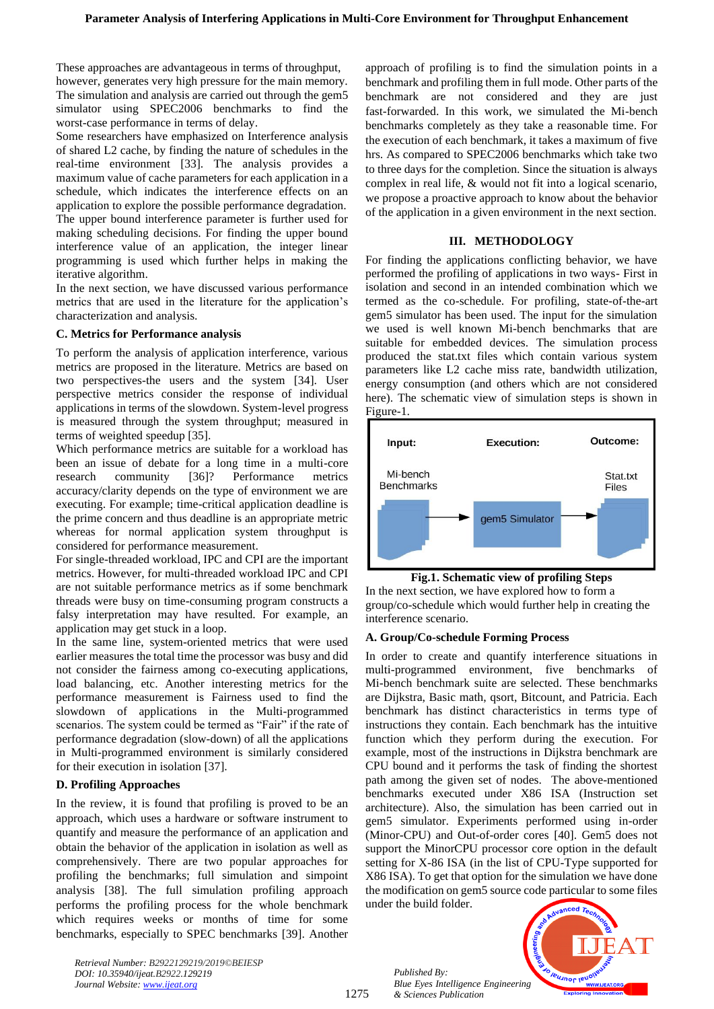These approaches are advantageous in terms of throughput, however, generates very high pressure for the main memory. The simulation and analysis are carried out through the gem5 simulator using SPEC2006 benchmarks to find the worst-case performance in terms of delay.

Some researchers have emphasized on Interference analysis of shared L2 cache, by finding the nature of schedules in the real-time environment [33]. The analysis provides a maximum value of cache parameters for each application in a schedule, which indicates the interference effects on an application to explore the possible performance degradation. The upper bound interference parameter is further used for making scheduling decisions. For finding the upper bound interference value of an application, the integer linear programming is used which further helps in making the iterative algorithm.

In the next section, we have discussed various performance metrics that are used in the literature for the application's characterization and analysis.

## **C. Metrics for Performance analysis**

To perform the analysis of application interference, various metrics are proposed in the literature. Metrics are based on two perspectives-the users and the system [34]. User perspective metrics consider the response of individual applications in terms of the slowdown. System-level progress is measured through the system throughput; measured in terms of weighted speedup [35].

Which performance metrics are suitable for a workload has been an issue of debate for a long time in a multi-core research community [36]? Performance metrics accuracy/clarity depends on the type of environment we are executing. For example; time-critical application deadline is the prime concern and thus deadline is an appropriate metric whereas for normal application system throughput is considered for performance measurement.

For single-threaded workload, IPC and CPI are the important metrics. However, for multi-threaded workload IPC and CPI are not suitable performance metrics as if some benchmark threads were busy on time-consuming program constructs a falsy interpretation may have resulted. For example, an application may get stuck in a loop.

In the same line, system-oriented metrics that were used earlier measures the total time the processor was busy and did not consider the fairness among co-executing applications, load balancing, etc. Another interesting metrics for the performance measurement is Fairness used to find the slowdown of applications in the Multi-programmed scenarios. The system could be termed as "Fair" if the rate of performance degradation (slow-down) of all the applications in Multi-programmed environment is similarly considered for their execution in isolation [37].

# **D. Profiling Approaches**

In the review, it is found that profiling is proved to be an approach, which uses a hardware or software instrument to quantify and measure the performance of an application and obtain the behavior of the application in isolation as well as comprehensively. There are two popular approaches for profiling the benchmarks; full simulation and simpoint analysis [38]. The full simulation profiling approach performs the profiling process for the whole benchmark which requires weeks or months of time for some benchmarks, especially to SPEC benchmarks [39]. Another approach of profiling is to find the simulation points in a benchmark and profiling them in full mode. Other parts of the benchmark are not considered and they are just fast-forwarded. In this work, we simulated the Mi-bench benchmarks completely as they take a reasonable time. For the execution of each benchmark, it takes a maximum of five hrs. As compared to SPEC2006 benchmarks which take two to three days for the completion. Since the situation is always complex in real life, & would not fit into a logical scenario, we propose a proactive approach to know about the behavior of the application in a given environment in the next section.

## **III. METHODOLOGY**

For finding the applications conflicting behavior, we have performed the profiling of applications in two ways- First in isolation and second in an intended combination which we termed as the co-schedule. For profiling, state-of-the-art gem5 simulator has been used. The input for the simulation we used is well known Mi-bench benchmarks that are suitable for embedded devices. The simulation process produced the stat.txt files which contain various system parameters like L2 cache miss rate, bandwidth utilization, energy consumption (and others which are not considered here). The schematic view of simulation steps is shown in Figure-1.



**Fig.1. Schematic view of profiling Steps**  In the next section, we have explored how to form a group/co-schedule which would further help in creating the interference scenario.

# **A. Group/Co-schedule Forming Process**

In order to create and quantify interference situations in multi-programmed environment, five benchmarks of Mi-bench benchmark suite are selected. These benchmarks are Dijkstra, Basic math, qsort, Bitcount, and Patricia. Each benchmark has distinct characteristics in terms type of instructions they contain. Each benchmark has the intuitive function which they perform during the execution. For example, most of the instructions in Dijkstra benchmark are CPU bound and it performs the task of finding the shortest path among the given set of nodes. The above-mentioned benchmarks executed under X86 ISA (Instruction set architecture). Also, the simulation has been carried out in gem5 simulator. Experiments performed using in-order (Minor-CPU) and Out-of-order cores [40]. Gem5 does not support the MinorCPU processor core option in the default setting for X-86 ISA (in the list of CPU-Type supported for X86 ISA). To get that option for the simulation we have done the modification on gem5 source code particular to some files under the build folder.



*Retrieval Number: B2922129219/2019©BEIESP DOI: 10.35940/ijeat.B2922.129219 Journal Website[: www.ijeat.org](http://www.ijeat.org/)*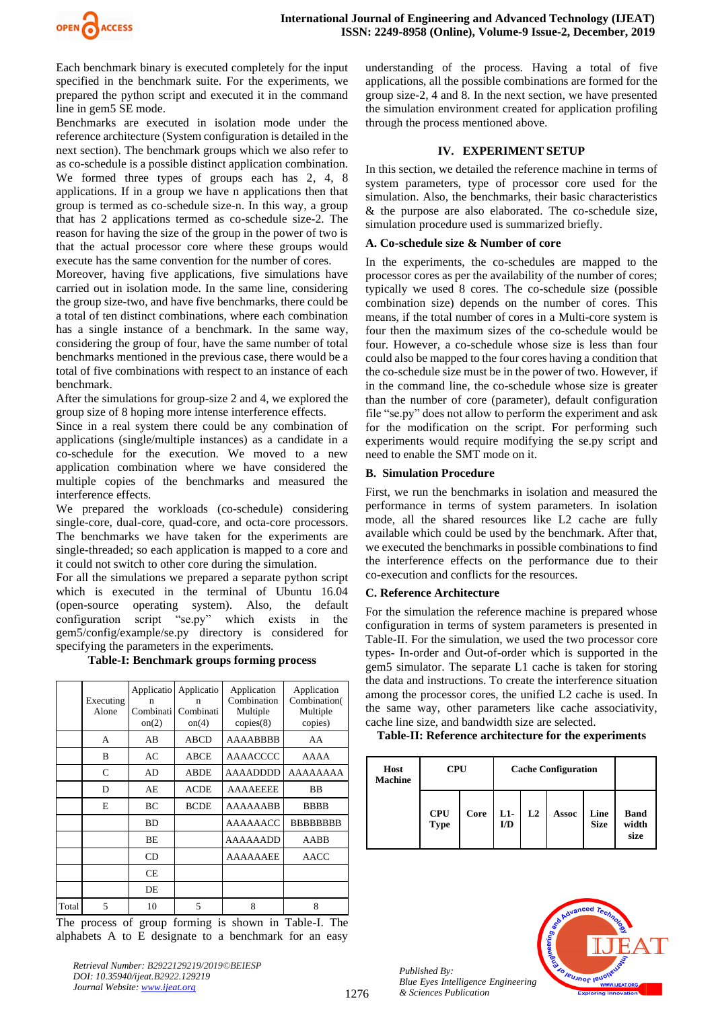

Each benchmark binary is executed completely for the input specified in the benchmark suite. For the experiments, we prepared the python script and executed it in the command line in gem5 SE mode.

Benchmarks are executed in isolation mode under the reference architecture (System configuration is detailed in the next section). The benchmark groups which we also refer to as co-schedule is a possible distinct application combination. We formed three types of groups each has 2, 4, 8 applications. If in a group we have n applications then that group is termed as co-schedule size-n. In this way, a group that has 2 applications termed as co-schedule size-2. The reason for having the size of the group in the power of two is that the actual processor core where these groups would execute has the same convention for the number of cores.

Moreover, having five applications, five simulations have carried out in isolation mode. In the same line, considering the group size-two, and have five benchmarks, there could be a total of ten distinct combinations, where each combination has a single instance of a benchmark. In the same way, considering the group of four, have the same number of total benchmarks mentioned in the previous case, there would be a total of five combinations with respect to an instance of each benchmark.

After the simulations for group-size 2 and 4, we explored the group size of 8 hoping more intense interference effects.

Since in a real system there could be any combination of applications (single/multiple instances) as a candidate in a co-schedule for the execution. We moved to a new application combination where we have considered the multiple copies of the benchmarks and measured the interference effects.

We prepared the workloads (co-schedule) considering single-core, dual-core, quad-core, and octa-core processors. The benchmarks we have taken for the experiments are single-threaded; so each application is mapped to a core and it could not switch to other core during the simulation.

For all the simulations we prepared a separate python script which is executed in the terminal of Ubuntu 16.04 (open-source operating system). Also, the default configuration script "se.py" which exists in the gem5/config/example/se.py directory is considered for specifying the parameters in the experiments.

**Table-I: Benchmark groups forming process**

|       | Executing<br>Alone | Applicatio<br>n<br>Combinati<br>on(2) | Applicatio<br>n<br>Combinati<br>on(4) | Application<br>Combination<br>Multiple<br>copies(8) | Application<br>Combination(<br>Multiple<br>copies) |
|-------|--------------------|---------------------------------------|---------------------------------------|-----------------------------------------------------|----------------------------------------------------|
|       | A                  | AB                                    | <b>ABCD</b>                           | AAAABBBB                                            | AA                                                 |
|       | B                  | AC                                    | ABCE                                  | AAAACCCC                                            | AAAA                                               |
|       | C                  | AD                                    | <b>ABDE</b>                           | <b>AAAADDDD</b>                                     | AAAAAAAA                                           |
|       | D                  | AE                                    | <b>ACDE</b>                           | <b>AAAAEEEE</b>                                     | <b>BB</b>                                          |
|       | E                  | <b>BC</b>                             | <b>BCDE</b>                           | AAAAAABB                                            | <b>BBBB</b>                                        |
|       |                    | <b>BD</b>                             |                                       | <b>AAAAAACC</b>                                     | <b>BBBBBBBB</b>                                    |
|       |                    | <b>BE</b>                             |                                       | <b>AAAAAADD</b>                                     | AABB                                               |
|       |                    | CD.                                   |                                       | <b>AAAAAAEE</b>                                     | AACC                                               |
|       |                    | <b>CE</b>                             |                                       |                                                     |                                                    |
|       |                    | DE                                    |                                       |                                                     |                                                    |
| Total | 5                  | 10                                    | 5                                     | 8                                                   | 8                                                  |

The process of group forming is shown in Table-I. The alphabets A to E designate to a benchmark for an easy

*Retrieval Number: B2922129219/2019©BEIESP DOI: 10.35940/ijeat.B2922.129219 Journal Website: [www.ijeat.org](http://www.ijeat.org/)*

understanding of the process. Having a total of five applications, all the possible combinations are formed for the group size-2, 4 and 8. In the next section, we have presented the simulation environment created for application profiling through the process mentioned above.

#### **IV. EXPERIMENT SETUP**

In this section, we detailed the reference machine in terms of system parameters, type of processor core used for the simulation. Also, the benchmarks, their basic characteristics & the purpose are also elaborated. The co-schedule size, simulation procedure used is summarized briefly.

#### **A. Co-schedule size & Number of core**

In the experiments, the co-schedules are mapped to the processor cores as per the availability of the number of cores; typically we used 8 cores. The co-schedule size (possible combination size) depends on the number of cores. This means, if the total number of cores in a Multi-core system is four then the maximum sizes of the co-schedule would be four. However, a co-schedule whose size is less than four could also be mapped to the four cores having a condition that the co-schedule size must be in the power of two. However, if in the command line, the co-schedule whose size is greater than the number of core (parameter), default configuration file "se.py" does not allow to perform the experiment and ask for the modification on the script. For performing such experiments would require modifying the se.py script and need to enable the SMT mode on it.

#### **B. Simulation Procedure**

First, we run the benchmarks in isolation and measured the performance in terms of system parameters. In isolation mode, all the shared resources like L2 cache are fully available which could be used by the benchmark. After that, we executed the benchmarks in possible combinations to find the interference effects on the performance due to their co-execution and conflicts for the resources.

#### **C. Reference Architecture**

For the simulation the reference machine is prepared whose configuration in terms of system parameters is presented in Table-II. For the simulation, we used the two processor core types- In-order and Out-of-order which is supported in the gem5 simulator. The separate L1 cache is taken for storing the data and instructions. To create the interference situation among the processor cores, the unified L2 cache is used. In the same way, other parameters like cache associativity, cache line size, and bandwidth size are selected.

**Table-II: Reference architecture for the experiments**

| Host<br><b>Machine</b> | <b>CPU</b>                | <b>Cache Configuration</b> |                        |    |              |                     |                              |
|------------------------|---------------------------|----------------------------|------------------------|----|--------------|---------------------|------------------------------|
|                        | <b>CPU</b><br><b>Type</b> | Core                       | $L1-$<br>$\mathbf{ID}$ | L2 | <b>Assoc</b> | Line<br><b>Size</b> | <b>Band</b><br>width<br>size |

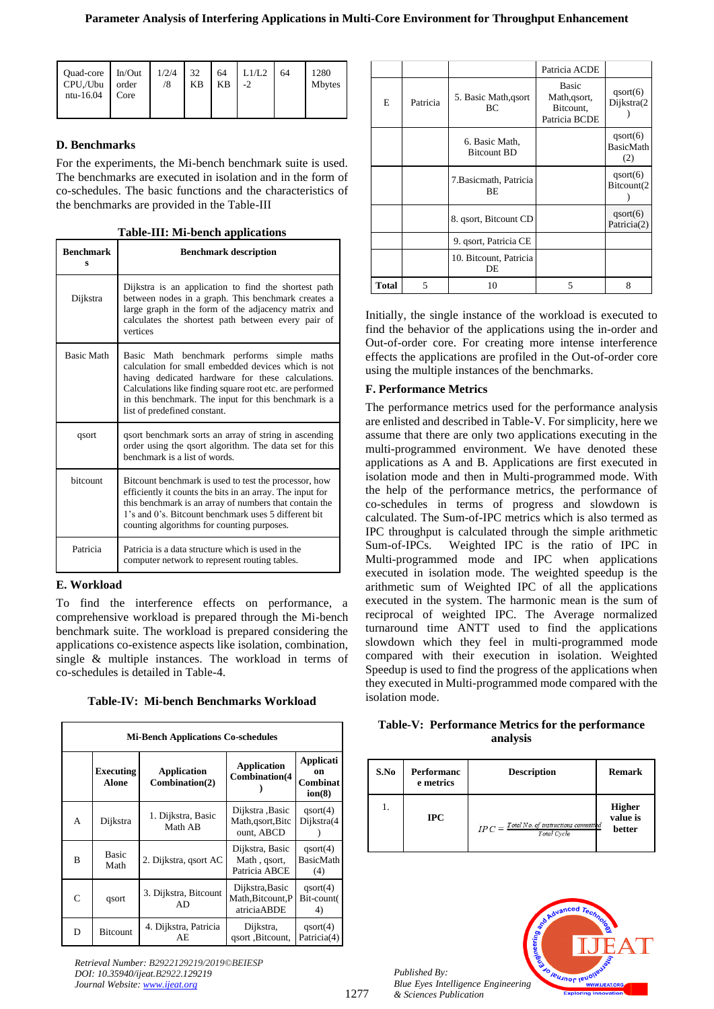| Quad-core<br>CPU,/Ubu<br>ntu-16.04 | In/Out<br>order<br>Core | 1/2/4 | 32<br><b>KB</b> | 64<br>KB | L1/L2<br>$-2$ | 64 | 1280<br><b>Mbytes</b> |
|------------------------------------|-------------------------|-------|-----------------|----------|---------------|----|-----------------------|
|------------------------------------|-------------------------|-------|-----------------|----------|---------------|----|-----------------------|

# **D. Benchmarks**

For the experiments, the Mi-bench benchmark suite is used. The benchmarks are executed in isolation and in the form of co-schedules. The basic functions and the characteristics of the benchmarks are provided in the Table-III

|  | Table-III: Mi-bench applications |
|--|----------------------------------|
|  |                                  |

| <b>Benchmark</b><br>s | <b>Benchmark description</b>                                                                                                                                                                                                                                                                               |
|-----------------------|------------------------------------------------------------------------------------------------------------------------------------------------------------------------------------------------------------------------------------------------------------------------------------------------------------|
| Dijkstra              | Dijkstra is an application to find the shortest path<br>between nodes in a graph. This benchmark creates a<br>large graph in the form of the adjacency matrix and<br>calculates the shortest path between every pair of<br>vertices                                                                        |
| <b>Basic Math</b>     | Basic Math benchmark performs simple maths<br>calculation for small embedded devices which is not<br>having dedicated hardware for these calculations.<br>Calculations like finding square root etc. are performed<br>in this benchmark. The input for this benchmark is a<br>list of predefined constant. |
| qsort                 | qsort benchmark sorts an array of string in ascending<br>order using the qsort algorithm. The data set for this<br>benchmark is a list of words.                                                                                                                                                           |
| <b>bitcount</b>       | Bitcount benchmark is used to test the processor, how<br>efficiently it counts the bits in an array. The input for<br>this benchmark is an array of numbers that contain the<br>1's and 0's. Bitcount benchmark uses 5 different bit<br>counting algorithms for counting purposes.                         |
| Patricia              | Patricia is a data structure which is used in the<br>computer network to represent routing tables.                                                                                                                                                                                                         |

# **E. Workload**

To find the interference effects on performance, a comprehensive workload is prepared through the Mi-bench benchmark suite. The workload is prepared considering the applications co-existence aspects like isolation, combination, single & multiple instances. The workload in terms of co-schedules is detailed in Table-4.

| <b>Mi-Bench Applications Co-schedules</b> |                                  |                                                                             |                                                     |                                       |  |  |  |  |
|-------------------------------------------|----------------------------------|-----------------------------------------------------------------------------|-----------------------------------------------------|---------------------------------------|--|--|--|--|
|                                           | <b>Executing</b><br><b>Alone</b> | <b>Application</b><br><b>Application</b><br>Combination(4<br>Combination(2) |                                                     | Applicati<br>on<br>Combinat<br>ion(8) |  |  |  |  |
| A                                         | Dijkstra                         | 1. Dijkstra, Basic<br>Math AB                                               | Dijkstra ,Basic<br>Math, qsort, Bitc<br>ount, ABCD  | qsort(4)<br>Dijkstra(4                |  |  |  |  |
| B                                         | <b>Basic</b><br>Math             | 2. Dijkstra, qsort AC                                                       | Dijkstra, Basic<br>Math, qsort,<br>Patricia ABCE    | qsort(4)<br>BasicMath<br>(4)          |  |  |  |  |
| $\mathsf{C}$                              | qsort                            | 3. Dijkstra, Bitcount<br>AD                                                 | Dijkstra, Basic<br>Math, Bitcount, P<br>atriciaABDE | qsort(4)<br>Bit-count(<br>4)          |  |  |  |  |
| D                                         | <b>Bitcount</b>                  | 4. Dijkstra, Patricia<br>AE                                                 | Dijkstra,<br>qsort ,Bitcount,                       | qsort(4)<br>Patricia(4)               |  |  |  |  |

# **Table-IV: Mi-bench Benchmarks Workload**

*Retrieval Number: B2922129219/2019©BEIESP DOI: 10.35940/ijeat.B2922.129219 Journal Website[: www.ijeat.org](http://www.ijeat.org/)*

|       |          |                                      | Patricia ACDE                                              |                                     |
|-------|----------|--------------------------------------|------------------------------------------------------------|-------------------------------------|
| E     | Patricia | 5. Basic Math, qsort<br>BС           | <b>Basic</b><br>Math, qsort,<br>Bitcount,<br>Patricia BCDE | qsort(6)<br>Dijkstra(2              |
|       |          | 6. Basic Math,<br><b>Bitcount BD</b> |                                                            | qsort(6)<br><b>BasicMath</b><br>(2) |
|       |          | 7. Basicmath, Patricia<br><b>BE</b>  |                                                            | qsort(6)<br>Bitcount(2              |
|       |          | 8. qsort, Bitcount CD                |                                                            | qsort(6)<br>Patricia(2)             |
|       |          | 9. qsort, Patricia CE                |                                                            |                                     |
|       |          | 10. Bitcount, Patricia<br>DE         |                                                            |                                     |
| Total | 5        | 10                                   | 5                                                          | 8                                   |

Initially, the single instance of the workload is executed to find the behavior of the applications using the in-order and Out-of-order core. For creating more intense interference effects the applications are profiled in the Out-of-order core using the multiple instances of the benchmarks.

# **F. Performance Metrics**

The performance metrics used for the performance analysis are enlisted and described in Table-V. For simplicity, here we assume that there are only two applications executing in the multi-programmed environment. We have denoted these applications as A and B. Applications are first executed in isolation mode and then in Multi-programmed mode. With the help of the performance metrics, the performance of co-schedules in terms of progress and slowdown is calculated. The Sum-of-IPC metrics which is also termed as IPC throughput is calculated through the simple arithmetic Sum-of-IPCs. Weighted IPC is the ratio of IPC in Multi-programmed mode and IPC when applications executed in isolation mode. The weighted speedup is the arithmetic sum of Weighted IPC of all the applications executed in the system. The harmonic mean is the sum of reciprocal of weighted IPC. The Average normalized turnaround time ANTT used to find the applications slowdown which they feel in multi-programmed mode compared with their execution in isolation. Weighted Speedup is used to find the progress of the applications when they executed in Multi-programmed mode compared with the isolation mode.

## **Table-V: Performance Metrics for the performance analysis**

| S.No | <b>Performanc</b><br>e metrics | <b>Description</b>                                                    | <b>Remark</b>                       |
|------|--------------------------------|-----------------------------------------------------------------------|-------------------------------------|
|      | <b>IPC</b>                     | $IPC = \frac{Total\,No.\ of\ instructions\ committed}$<br>Total Cycle | <b>Higher</b><br>value is<br>better |

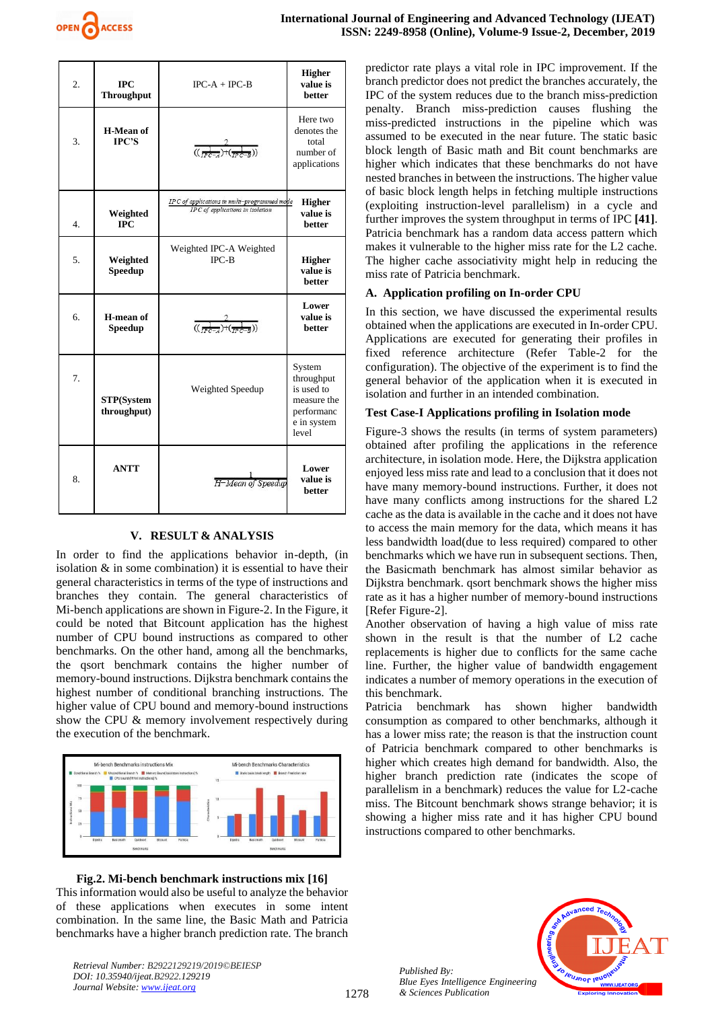

| $\overline{2}$ . | <b>IPC</b><br><b>Throughput</b>  | $IPC-A + IPC-B$                                                                  | <b>Higher</b><br>value is<br>hetter                                                     |
|------------------|----------------------------------|----------------------------------------------------------------------------------|-----------------------------------------------------------------------------------------|
| 3.               | H-Mean of<br>IPC'S               | $\frac{2}{((\frac{1}{p\sigma-1})+(\frac{1}{p\sigma-1}))}$                        | Here two<br>denotes the<br>total<br>number of<br>applications                           |
| $\overline{4}$ . | Weighted<br><b>IPC</b>           | IPC of applications in multi-programmed mode<br>IPC of applications in isolation | <b>Higher</b><br>value is<br><b>better</b>                                              |
| 5.               | Weighted<br><b>Speedup</b>       | Weighted IPC-A Weighted<br>$IPC-B$                                               | <b>Higher</b><br>value is<br>better                                                     |
| 6.               | H-mean of<br><b>Speedup</b>      | $\frac{1}{((\frac{1}{\sqrt{p^2-1}})^{1}(\frac{1}{\sqrt{p^2-1}}))}$               | Lower<br>value is<br><b>better</b>                                                      |
| 7.               | <b>STP(System</b><br>throughput) | Weighted Speedup                                                                 | System<br>throughput<br>is used to<br>measure the<br>performanc<br>e in system<br>level |
| 8.               | <b>ANTT</b>                      | $H-Mean$ of<br><i>Speedup</i>                                                    | Lower<br>value is<br>better                                                             |

## **V. RESULT & ANALYSIS**

In order to find the applications behavior in-depth, (in isolation & in some combination) it is essential to have their general characteristics in terms of the type of instructions and branches they contain. The general characteristics of Mi-bench applications are shown in Figure-2. In the Figure, it could be noted that Bitcount application has the highest number of CPU bound instructions as compared to other benchmarks. On the other hand, among all the benchmarks, the qsort benchmark contains the higher number of memory-bound instructions. Dijkstra benchmark contains the highest number of conditional branching instructions. The higher value of CPU bound and memory-bound instructions show the CPU & memory involvement respectively during the execution of the benchmark.



#### **Fig.2. Mi-bench benchmark instructions mix [16]**

This information would also be useful to analyze the behavior of these applications when executes in some intent combination. In the same line, the Basic Math and Patricia benchmarks have a higher branch prediction rate. The branch

*Retrieval Number: B2922129219/2019©BEIESP DOI: 10.35940/ijeat.B2922.129219 Journal Website: [www.ijeat.org](http://www.ijeat.org/)*

predictor rate plays a vital role in IPC improvement. If the branch predictor does not predict the branches accurately, the IPC of the system reduces due to the branch miss-prediction penalty. Branch miss-prediction causes flushing the miss-predicted instructions in the pipeline which was assumed to be executed in the near future. The static basic block length of Basic math and Bit count benchmarks are higher which indicates that these benchmarks do not have nested branches in between the instructions. The higher value of basic block length helps in fetching multiple instructions (exploiting instruction-level parallelism) in a cycle and further improves the system throughput in terms of IPC **[41]**. Patricia benchmark has a random data access pattern which makes it vulnerable to the higher miss rate for the L2 cache. The higher cache associativity might help in reducing the miss rate of Patricia benchmark.

#### **A. Application profiling on In-order CPU**

In this section, we have discussed the experimental results obtained when the applications are executed in In-order CPU. Applications are executed for generating their profiles in fixed reference architecture (Refer Table-2 for the configuration). The objective of the experiment is to find the general behavior of the application when it is executed in isolation and further in an intended combination.

#### **Test Case-I Applications profiling in Isolation mode**

Figure-3 shows the results (in terms of system parameters) obtained after profiling the applications in the reference architecture, in isolation mode. Here, the Dijkstra application enjoyed less miss rate and lead to a conclusion that it does not have many memory-bound instructions. Further, it does not have many conflicts among instructions for the shared L2 cache as the data is available in the cache and it does not have to access the main memory for the data, which means it has less bandwidth load(due to less required) compared to other benchmarks which we have run in subsequent sections. Then, the Basicmath benchmark has almost similar behavior as Dijkstra benchmark. qsort benchmark shows the higher miss rate as it has a higher number of memory-bound instructions [Refer Figure-2].

Another observation of having a high value of miss rate shown in the result is that the number of L2 cache replacements is higher due to conflicts for the same cache line. Further, the higher value of bandwidth engagement indicates a number of memory operations in the execution of this benchmark.

Patricia benchmark has shown higher bandwidth consumption as compared to other benchmarks, although it has a lower miss rate; the reason is that the instruction count of Patricia benchmark compared to other benchmarks is higher which creates high demand for bandwidth. Also, the higher branch prediction rate (indicates the scope of parallelism in a benchmark) reduces the value for L2-cache miss. The Bitcount benchmark shows strange behavior; it is showing a higher miss rate and it has higher CPU bound instructions compared to other benchmarks.

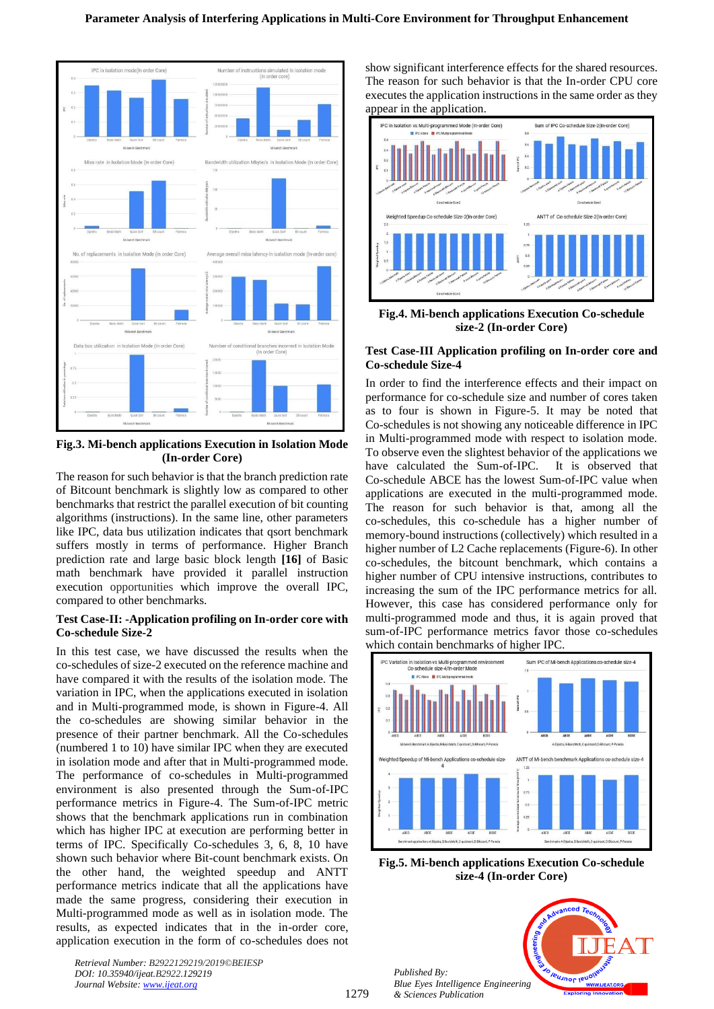

**Fig.3. Mi-bench applications Execution in Isolation Mode (In-order Core)**

The reason for such behavior is that the branch prediction rate of Bitcount benchmark is slightly low as compared to other benchmarks that restrict the parallel execution of bit counting algorithms (instructions). In the same line, other parameters like IPC, data bus utilization indicates that qsort benchmark suffers mostly in terms of performance. Higher Branch prediction rate and large basic block length **[16]** of Basic math benchmark have provided it parallel instruction execution opportunities which improve the overall IPC, compared to other benchmarks.

#### **Test Case-II: -Application profiling on In-order core with Co-schedule Size-2**

In this test case, we have discussed the results when the co-schedules of size-2 executed on the reference machine and have compared it with the results of the isolation mode. The variation in IPC, when the applications executed in isolation and in Multi-programmed mode, is shown in Figure-4. All the co-schedules are showing similar behavior in the presence of their partner benchmark. All the Co-schedules (numbered 1 to 10) have similar IPC when they are executed in isolation mode and after that in Multi-programmed mode. The performance of co-schedules in Multi-programmed environment is also presented through the Sum-of-IPC performance metrics in Figure-4. The Sum-of-IPC metric shows that the benchmark applications run in combination which has higher IPC at execution are performing better in terms of IPC. Specifically Co-schedules 3, 6, 8, 10 have shown such behavior where Bit-count benchmark exists. On the other hand, the weighted speedup and ANTT performance metrics indicate that all the applications have made the same progress, considering their execution in Multi-programmed mode as well as in isolation mode. The results, as expected indicates that in the in-order core, application execution in the form of co-schedules does not

*Retrieval Number: B2922129219/2019©BEIESP DOI: 10.35940/ijeat.B2922.129219 Journal Website[: www.ijeat.org](http://www.ijeat.org/)*

show significant interference effects for the shared resources. The reason for such behavior is that the In-order CPU core executes the application instructions in the same order as they appear in the application.



**Fig.4. Mi-bench applications Execution Co-schedule size-2 (In-order Core)**

#### **Test Case-III Application profiling on In-order core and Co-schedule Size-4**

In order to find the interference effects and their impact on performance for co-schedule size and number of cores taken as to four is shown in Figure-5. It may be noted that Co-schedules is not showing any noticeable difference in IPC in Multi-programmed mode with respect to isolation mode. To observe even the slightest behavior of the applications we have calculated the Sum-of-IPC. It is observed that Co-schedule ABCE has the lowest Sum-of-IPC value when applications are executed in the multi-programmed mode. The reason for such behavior is that, among all the co-schedules, this co-schedule has a higher number of memory-bound instructions (collectively) which resulted in a higher number of L2 Cache replacements (Figure-6). In other co-schedules, the bitcount benchmark, which contains a higher number of CPU intensive instructions, contributes to increasing the sum of the IPC performance metrics for all. However, this case has considered performance only for multi-programmed mode and thus, it is again proved that sum-of-IPC performance metrics favor those co-schedules which contain benchmarks of higher IPC.



**Fig.5. Mi-bench applications Execution Co-schedule size-4 (In-order Core)**

**IBUJNOF IBU**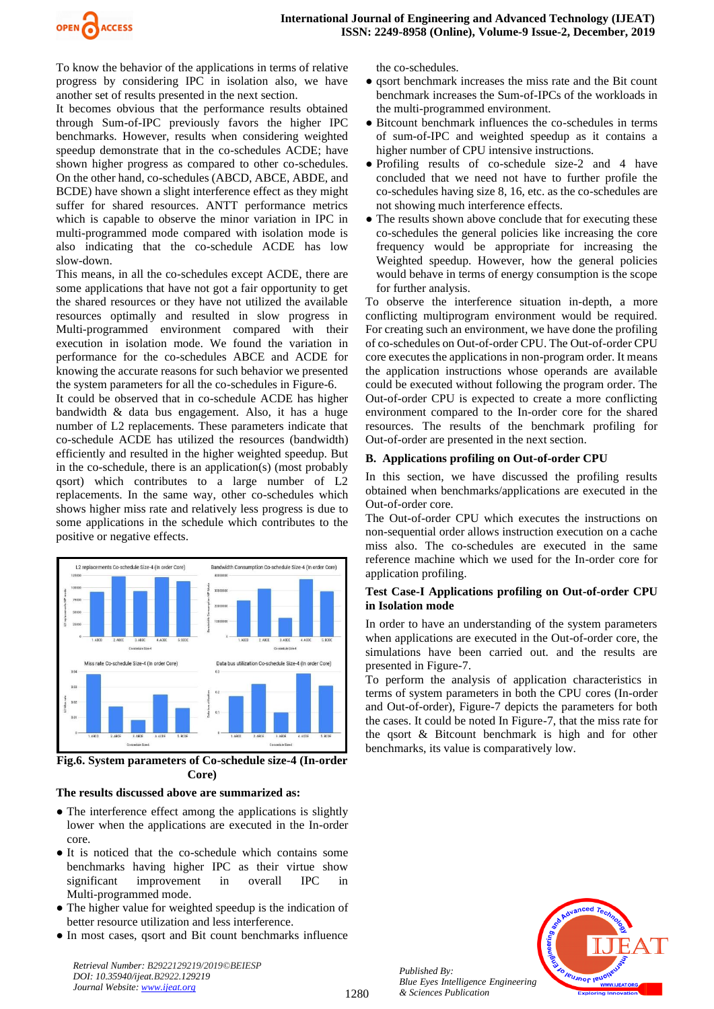

To know the behavior of the applications in terms of relative progress by considering IPC in isolation also, we have another set of results presented in the next section.

It becomes obvious that the performance results obtained through Sum-of-IPC previously favors the higher IPC benchmarks. However, results when considering weighted speedup demonstrate that in the co-schedules ACDE; have shown higher progress as compared to other co-schedules. On the other hand, co-schedules (ABCD, ABCE, ABDE, and BCDE) have shown a slight interference effect as they might suffer for shared resources. ANTT performance metrics which is capable to observe the minor variation in IPC in multi-programmed mode compared with isolation mode is also indicating that the co-schedule ACDE has low slow-down.

This means, in all the co-schedules except ACDE, there are some applications that have not got a fair opportunity to get the shared resources or they have not utilized the available resources optimally and resulted in slow progress in Multi-programmed environment compared with their execution in isolation mode. We found the variation in performance for the co-schedules ABCE and ACDE for knowing the accurate reasons for such behavior we presented the system parameters for all the co-schedules in Figure-6.

It could be observed that in co-schedule ACDE has higher bandwidth & data bus engagement. Also, it has a huge number of L2 replacements. These parameters indicate that co-schedule ACDE has utilized the resources (bandwidth) efficiently and resulted in the higher weighted speedup. But in the co-schedule, there is an application(s) (most probably qsort) which contributes to a large number of L2 replacements. In the same way, other co-schedules which shows higher miss rate and relatively less progress is due to some applications in the schedule which contributes to the positive or negative effects.



**Fig.6. System parameters of Co-schedule size-4 (In-order Core)**

#### **The results discussed above are summarized as:**

- The interference effect among the applications is slightly lower when the applications are executed in the In-order core.
- It is noticed that the co-schedule which contains some benchmarks having higher IPC as their virtue show significant improvement in overall IPC in Multi-programmed mode.
- The higher value for weighted speedup is the indication of better resource utilization and less interference.
- In most cases, qsort and Bit count benchmarks influence

*Retrieval Number: B2922129219/2019©BEIESP DOI: 10.35940/ijeat.B2922.129219 Journal Website: [www.ijeat.org](http://www.ijeat.org/)*

the co-schedules.

- qsort benchmark increases the miss rate and the Bit count benchmark increases the Sum-of-IPCs of the workloads in the multi-programmed environment.
- Bitcount benchmark influences the co-schedules in terms of sum-of-IPC and weighted speedup as it contains a higher number of CPU intensive instructions.
- Profiling results of co-schedule size-2 and 4 have concluded that we need not have to further profile the co-schedules having size 8, 16, etc. as the co-schedules are not showing much interference effects.
- The results shown above conclude that for executing these co-schedules the general policies like increasing the core frequency would be appropriate for increasing the Weighted speedup. However, how the general policies would behave in terms of energy consumption is the scope for further analysis.

To observe the interference situation in-depth, a more conflicting multiprogram environment would be required. For creating such an environment, we have done the profiling of co-schedules on Out-of-order CPU. The Out-of-order CPU core executes the applications in non-program order. It means the application instructions whose operands are available could be executed without following the program order. The Out-of-order CPU is expected to create a more conflicting environment compared to the In-order core for the shared resources. The results of the benchmark profiling for Out-of-order are presented in the next section.

# **B. Applications profiling on Out-of-order CPU**

In this section, we have discussed the profiling results obtained when benchmarks/applications are executed in the Out-of-order core.

The Out-of-order CPU which executes the instructions on non-sequential order allows instruction execution on a cache miss also. The co-schedules are executed in the same reference machine which we used for the In-order core for application profiling.

# **Test Case-I Applications profiling on Out-of-order CPU in Isolation mode**

In order to have an understanding of the system parameters when applications are executed in the Out-of-order core, the simulations have been carried out. and the results are presented in Figure-7.

To perform the analysis of application characteristics in terms of system parameters in both the CPU cores (In-order and Out-of-order), Figure-7 depicts the parameters for both the cases. It could be noted In Figure-7, that the miss rate for the qsort & Bitcount benchmark is high and for other benchmarks, its value is comparatively low.

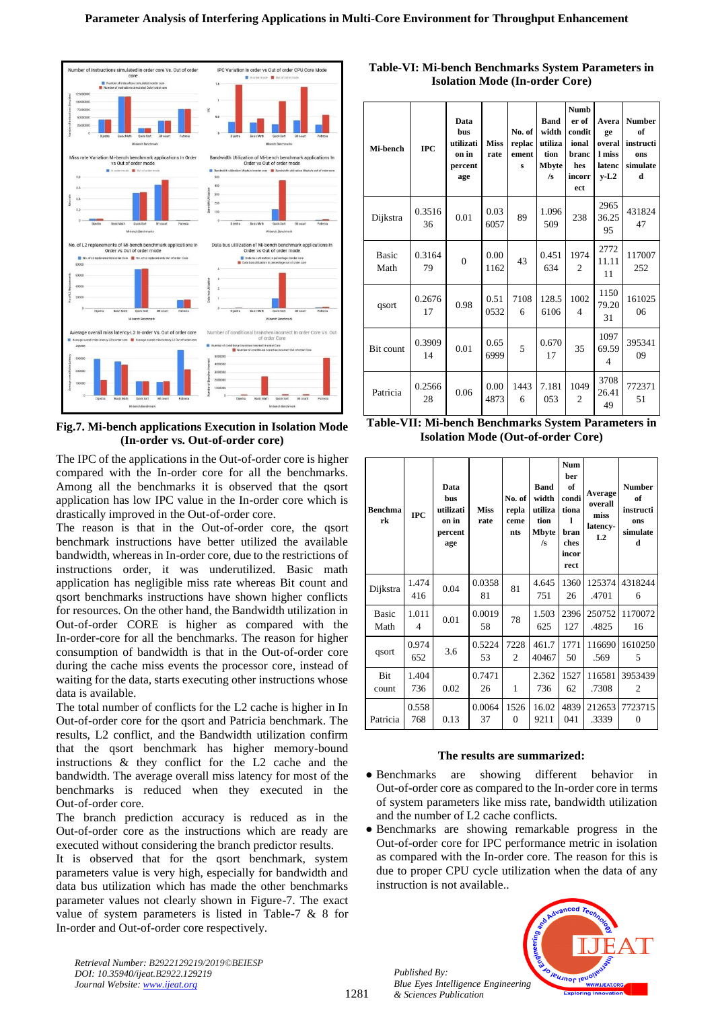

**Fig.7. Mi-bench applications Execution in Isolation Mode (In-order vs. Out-of-order core)**

The IPC of the applications in the Out-of-order core is higher compared with the In-order core for all the benchmarks. Among all the benchmarks it is observed that the qsort application has low IPC value in the In-order core which is drastically improved in the Out-of-order core.

The reason is that in the Out-of-order core, the qsort benchmark instructions have better utilized the available bandwidth, whereas in In-order core, due to the restrictions of instructions order, it was underutilized. Basic math application has negligible miss rate whereas Bit count and qsort benchmarks instructions have shown higher conflicts for resources. On the other hand, the Bandwidth utilization in Out-of-order CORE is higher as compared with the In-order-core for all the benchmarks. The reason for higher consumption of bandwidth is that in the Out-of-order core during the cache miss events the processor core, instead of waiting for the data, starts executing other instructions whose data is available.

The total number of conflicts for the L2 cache is higher in In Out-of-order core for the qsort and Patricia benchmark. The results, L2 conflict, and the Bandwidth utilization confirm that the qsort benchmark has higher memory-bound instructions & they conflict for the L2 cache and the bandwidth. The average overall miss latency for most of the benchmarks is reduced when they executed in the Out-of-order core.

The branch prediction accuracy is reduced as in the Out-of-order core as the instructions which are ready are executed without considering the branch predictor results.

It is observed that for the qsort benchmark, system parameters value is very high, especially for bandwidth and data bus utilization which has made the other benchmarks parameter values not clearly shown in Figure-7. The exact value of system parameters is listed in Table-7 & 8 for In-order and Out-of-order core respectively.

*Retrieval Number: B2922129219/2019©BEIESP DOI: 10.35940/ijeat.B2922.129219 Journal Website[: www.ijeat.org](http://www.ijeat.org/)*

| Table-VI: Mi-bench Benchmarks System Parameters in |
|----------------------------------------------------|
| <b>Isolation Mode (In-order Core)</b>              |

| Mi-bench             | <b>TPC</b>   | Data<br><b>bus</b><br>utilizati<br>on in<br>percent<br>age | <b>Miss</b><br>rate | No. of<br>replac<br>ement<br>$\mathbf{s}$ | <b>Band</b><br>width<br>utiliza<br>tion<br>Mbyte<br>/s | <b>Numb</b><br>er of<br>condit<br>ional<br>branc<br>hes<br>incorr<br>ect | Avera<br>ge<br>overal<br>l miss<br>latenc<br>$v-L2$ | <b>Number</b><br>of<br>instructi<br>ons<br>simulate<br>d |
|----------------------|--------------|------------------------------------------------------------|---------------------|-------------------------------------------|--------------------------------------------------------|--------------------------------------------------------------------------|-----------------------------------------------------|----------------------------------------------------------|
| Dijkstra             | 0.3516<br>36 | 0.01                                                       | 0.03<br>6057        | 89                                        | 1.096<br>509                                           | 238                                                                      | 2965<br>36.25<br>95                                 | 431824<br>47                                             |
| <b>Basic</b><br>Math | 0.3164<br>79 | $\theta$                                                   | 0.00<br>1162        | 43                                        | 0.451<br>634                                           | 1974<br>$\overline{c}$                                                   | 2772<br>11.11<br>11                                 | 117007<br>252                                            |
| qsort                | 0.2676<br>17 | 0.98                                                       | 0.51<br>0532        | 7108<br>6                                 | 128.5<br>6106                                          | 1002<br>$\overline{\mathcal{A}}$                                         | 1150<br>79.20<br>31                                 | 161025<br>06                                             |
| Bit count            | 0.3909<br>14 | 0.01                                                       | 0.65<br>6999        | 5                                         | 0.670<br>17                                            | 35                                                                       | 1097<br>69.59<br>$\overline{4}$                     | 395341<br>09                                             |
| Patricia             | 0.2566<br>28 | 0.06                                                       | 0.00<br>4873        | 1443<br>6                                 | 7.181<br>053                                           | 1049<br>$\mathfrak{2}$                                                   | 3708<br>26.41<br>49                                 | 772371<br>51                                             |

**Table-VII: Mi-bench Benchmarks System Parameters in Isolation Mode (Out-of-order Core)**

| <b>Benchma</b><br>rk | <b>IPC</b>   | Data<br><b>bus</b><br>utilizati<br>on in<br>percent<br>age | <b>Miss</b><br>rate | No. of<br>repla<br>ceme<br>nts | <b>Band</b><br>width<br>utiliza<br>tion<br><b>Mbyte</b><br>/s | <b>Num</b><br>ber<br>of<br>condi<br>tiona<br>п<br>bran<br>ches<br>incor<br>rect | Average<br>overall<br>miss<br>latency-<br>L <sub>2</sub> | <b>Number</b><br>of<br>instructi<br>ons<br>simulate<br>d |
|----------------------|--------------|------------------------------------------------------------|---------------------|--------------------------------|---------------------------------------------------------------|---------------------------------------------------------------------------------|----------------------------------------------------------|----------------------------------------------------------|
| Dijkstra             | 1.474<br>416 | 0.04                                                       | 0.0358<br>81        | 81                             | 4.645<br>751                                                  | 1360<br>26                                                                      | 125374<br>.4701                                          | 4318244<br>6                                             |
| <b>Basic</b><br>Math | 1.011<br>4   | 0.01                                                       | 0.0019<br>58        | 78                             | 1.503<br>625                                                  | 2396<br>127                                                                     | 250752<br>.4825                                          | 1170072<br>16                                            |
| qsort                | 0.974<br>652 | 3.6                                                        | 0.5224<br>53        | 7228<br>$\mathfrak{D}$         | 461.7<br>40467                                                | 1771<br>50                                                                      | 116690<br>.569                                           | 1610250<br>5                                             |
| Bit<br>count         | 1.404<br>736 | 0.02                                                       | 0.7471<br>26        | 1                              | 2.362<br>736                                                  | 1527<br>62                                                                      | 116581<br>.7308                                          | 3953439<br>2                                             |
| Patricia             | 0.558<br>768 | 0.13                                                       | 0.0064<br>37        | 1526<br>$\Omega$               | 16.02<br>9211                                                 | 4839<br>041                                                                     | 212653<br>.3339                                          | 7723715<br>$\theta$                                      |

#### **The results are summarized:**

- Benchmarks are showing different behavior in Out-of-order core as compared to the In-order core in terms of system parameters like miss rate, bandwidth utilization and the number of L2 cache conflicts.
- Benchmarks are showing remarkable progress in the Out-of-order core for IPC performance metric in isolation as compared with the In-order core. The reason for this is due to proper CPU cycle utilization when the data of any instruction is not available..



*Published By: Blue Eyes Intelligence Engineering & Sciences Publication*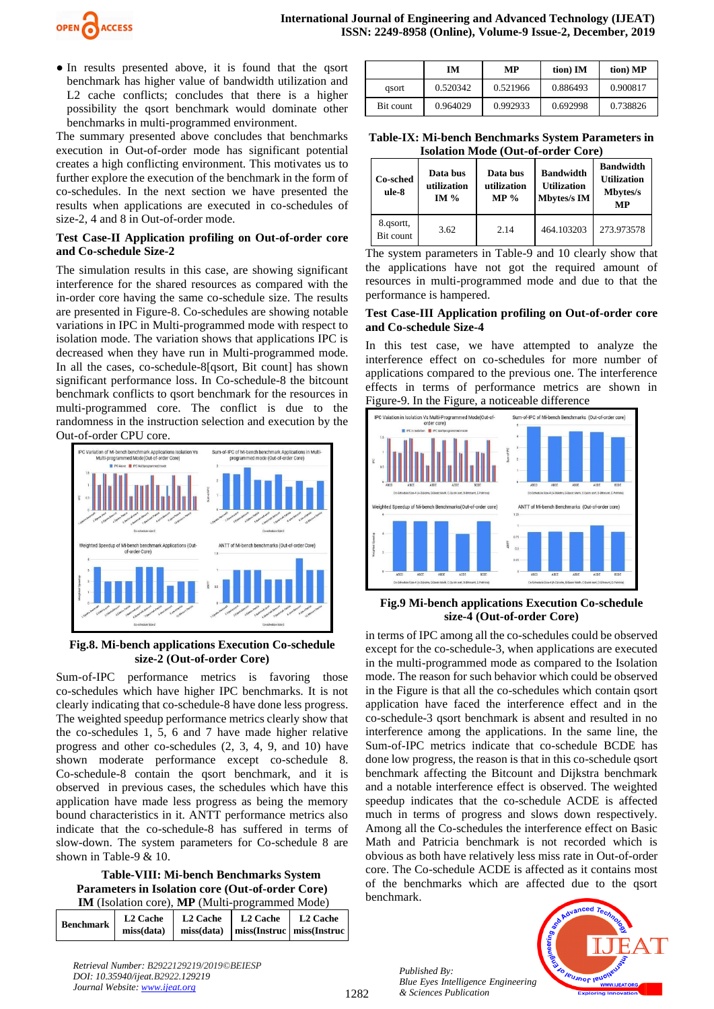

● In results presented above, it is found that the qsort benchmark has higher value of bandwidth utilization and L2 cache conflicts; concludes that there is a higher possibility the qsort benchmark would dominate other benchmarks in multi-programmed environment.

The summary presented above concludes that benchmarks execution in Out-of-order mode has significant potential creates a high conflicting environment. This motivates us to further explore the execution of the benchmark in the form of co-schedules. In the next section we have presented the results when applications are executed in co-schedules of size-2, 4 and 8 in Out-of-order mode.

#### **Test Case-II Application profiling on Out-of-order core and Co-schedule Size-2**

The simulation results in this case, are showing significant interference for the shared resources as compared with the in-order core having the same co-schedule size. The results are presented in Figure-8. Co-schedules are showing notable variations in IPC in Multi-programmed mode with respect to isolation mode. The variation shows that applications IPC is decreased when they have run in Multi-programmed mode. In all the cases, co-schedule-8[qsort, Bit count] has shown significant performance loss. In Co-schedule-8 the bitcount benchmark conflicts to qsort benchmark for the resources in multi-programmed core. The conflict is due to the randomness in the instruction selection and execution by the Out-of-order CPU core.



#### **Fig.8. Mi-bench applications Execution Co-schedule size-2 (Out-of-order Core)**

Sum-of-IPC performance metrics is favoring those co-schedules which have higher IPC benchmarks. It is not clearly indicating that co-schedule-8 have done less progress. The weighted speedup performance metrics clearly show that the co-schedules 1, 5, 6 and 7 have made higher relative progress and other co-schedules (2, 3, 4, 9, and 10) have shown moderate performance except co-schedule 8. Co-schedule-8 contain the qsort benchmark, and it is observed in previous cases, the schedules which have this application have made less progress as being the memory bound characteristics in it. ANTT performance metrics also indicate that the co-schedule-8 has suffered in terms of slow-down. The system parameters for Co-schedule 8 are shown in Table-9 & 10.

 **Table-VIII: Mi-bench Benchmarks System Parameters in Isolation core (Out-of-order Core) IM** (Isolation core), **MP** (Multi-programmed Mode)

| <b>Benchmark</b> | L <sub>2</sub> Cache | L2 Cache | L2 Cache | L2 Cache                                 |
|------------------|----------------------|----------|----------|------------------------------------------|
|                  | miss(data)           |          |          | miss(data)   miss(Instruc   miss(Instruc |

|           | IМ       | МP       | tion) IM | tion) MP |
|-----------|----------|----------|----------|----------|
| gsort     | 0.520342 | 0.521966 | 0.886493 | 0.900817 |
| Bit count | 0.964029 | 0.992933 | 0.692998 | 0.738826 |

**Table-IX: Mi-bench Benchmarks System Parameters in Isolation Mode (Out-of-order Core)**

| Co-sched<br>ule-8      | Data bus<br>utilization<br>IM $%$ | Data bus<br>utilization<br>$MP \%$ | <b>Bandwidth</b><br><b>Utilization</b><br><b>Mbytes/s IM</b> | <b>Bandwidth</b><br><b>Utilization</b><br><b>Mbytes/s</b><br><b>MP</b> |
|------------------------|-----------------------------------|------------------------------------|--------------------------------------------------------------|------------------------------------------------------------------------|
| 8.qsortt,<br>Bit count | 3.62                              | 2.14                               | 464.103203                                                   | 273.973578                                                             |

The system parameters in Table-9 and 10 clearly show that the applications have not got the required amount of resources in multi-programmed mode and due to that the performance is hampered.

#### **Test Case-III Application profiling on Out-of-order core and Co-schedule Size-4**

In this test case, we have attempted to analyze the interference effect on co-schedules for more number of applications compared to the previous one. The interference effects in terms of performance metrics are shown in Figure-9. In the Figure, a noticeable difference



#### **Fig.9 Mi-bench applications Execution Co-schedule size-4 (Out-of-order Core)**

in terms of IPC among all the co-schedules could be observed except for the co-schedule-3, when applications are executed in the multi-programmed mode as compared to the Isolation mode. The reason for such behavior which could be observed in the Figure is that all the co-schedules which contain qsort application have faced the interference effect and in the co-schedule-3 qsort benchmark is absent and resulted in no interference among the applications. In the same line, the Sum-of-IPC metrics indicate that co-schedule BCDE has done low progress, the reason is that in this co-schedule qsort benchmark affecting the Bitcount and Dijkstra benchmark and a notable interference effect is observed. The weighted speedup indicates that the co-schedule ACDE is affected much in terms of progress and slows down respectively. Among all the Co-schedules the interference effect on Basic Math and Patricia benchmark is not recorded which is obvious as both have relatively less miss rate in Out-of-order core. The Co-schedule ACDE is affected as it contains most of the benchmarks which are affected due to the qsort benchmark.



*Retrieval Number: B2922129219/2019©BEIESP DOI: 10.35940/ijeat.B2922.129219 Journal Website: [www.ijeat.org](http://www.ijeat.org/)*

*Published By:*

*& Sciences Publication*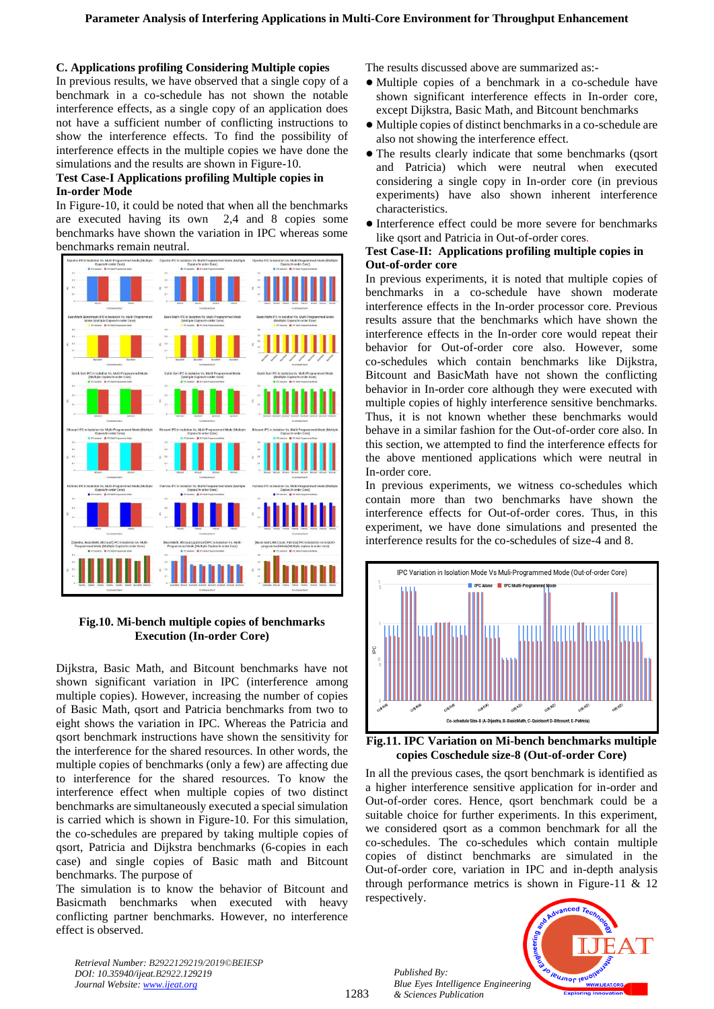## **C. Applications profiling Considering Multiple copies**

In previous results, we have observed that a single copy of a benchmark in a co-schedule has not shown the notable interference effects, as a single copy of an application does not have a sufficient number of conflicting instructions to show the interference effects. To find the possibility of interference effects in the multiple copies we have done the simulations and the results are shown in Figure-10.

## **Test Case-I Applications profiling Multiple copies in In-order Mode**

In Figure-10, it could be noted that when all the benchmarks are executed having its own 2,4 and 8 copies some benchmarks have shown the variation in IPC whereas some benchmarks remain neutral.



## **Fig.10. Mi-bench multiple copies of benchmarks Execution (In-order Core)**

Dijkstra, Basic Math, and Bitcount benchmarks have not shown significant variation in IPC (interference among multiple copies). However, increasing the number of copies of Basic Math, qsort and Patricia benchmarks from two to eight shows the variation in IPC. Whereas the Patricia and qsort benchmark instructions have shown the sensitivity for the interference for the shared resources. In other words, the multiple copies of benchmarks (only a few) are affecting due to interference for the shared resources. To know the interference effect when multiple copies of two distinct benchmarks are simultaneously executed a special simulation is carried which is shown in Figure-10. For this simulation, the co-schedules are prepared by taking multiple copies of qsort, Patricia and Dijkstra benchmarks (6-copies in each case) and single copies of Basic math and Bitcount benchmarks. The purpose of

The simulation is to know the behavior of Bitcount and Basicmath benchmarks when executed with heavy conflicting partner benchmarks. However, no interference effect is observed.

*Retrieval Number: B2922129219/2019©BEIESP DOI: 10.35940/ijeat.B2922.129219 Journal Website[: www.ijeat.org](http://www.ijeat.org/)*

The results discussed above are summarized as:-

- Multiple copies of a benchmark in a co-schedule have shown significant interference effects in In-order core, except Dijkstra, Basic Math, and Bitcount benchmarks
- Multiple copies of distinct benchmarks in a co-schedule are also not showing the interference effect.
- The results clearly indicate that some benchmarks (qsort and Patricia) which were neutral when executed considering a single copy in In-order core (in previous experiments) have also shown inherent interference characteristics.
- Interference effect could be more severe for benchmarks like qsort and Patricia in Out-of-order cores.

## **Test Case-II: Applications profiling multiple copies in Out-of-order core**

In previous experiments, it is noted that multiple copies of benchmarks in a co-schedule have shown moderate interference effects in the In-order processor core. Previous results assure that the benchmarks which have shown the interference effects in the In-order core would repeat their behavior for Out-of-order core also. However, some co-schedules which contain benchmarks like Dijkstra, Bitcount and BasicMath have not shown the conflicting behavior in In-order core although they were executed with multiple copies of highly interference sensitive benchmarks. Thus, it is not known whether these benchmarks would behave in a similar fashion for the Out-of-order core also. In this section, we attempted to find the interference effects for the above mentioned applications which were neutral in In-order core.

In previous experiments, we witness co-schedules which contain more than two benchmarks have shown the interference effects for Out-of-order cores. Thus, in this experiment, we have done simulations and presented the interference results for the co-schedules of size-4 and 8.





In all the previous cases, the qsort benchmark is identified as a higher interference sensitive application for in-order and Out-of-order cores. Hence, qsort benchmark could be a suitable choice for further experiments. In this experiment, we considered qsort as a common benchmark for all the co-schedules. The co-schedules which contain multiple copies of distinct benchmarks are simulated in the Out-of-order core, variation in IPC and in-depth analysis through performance metrics is shown in Figure-11  $& 12$ respectively.

*Published By: Blue Eyes Intelligence Engineering & Sciences Publication* 

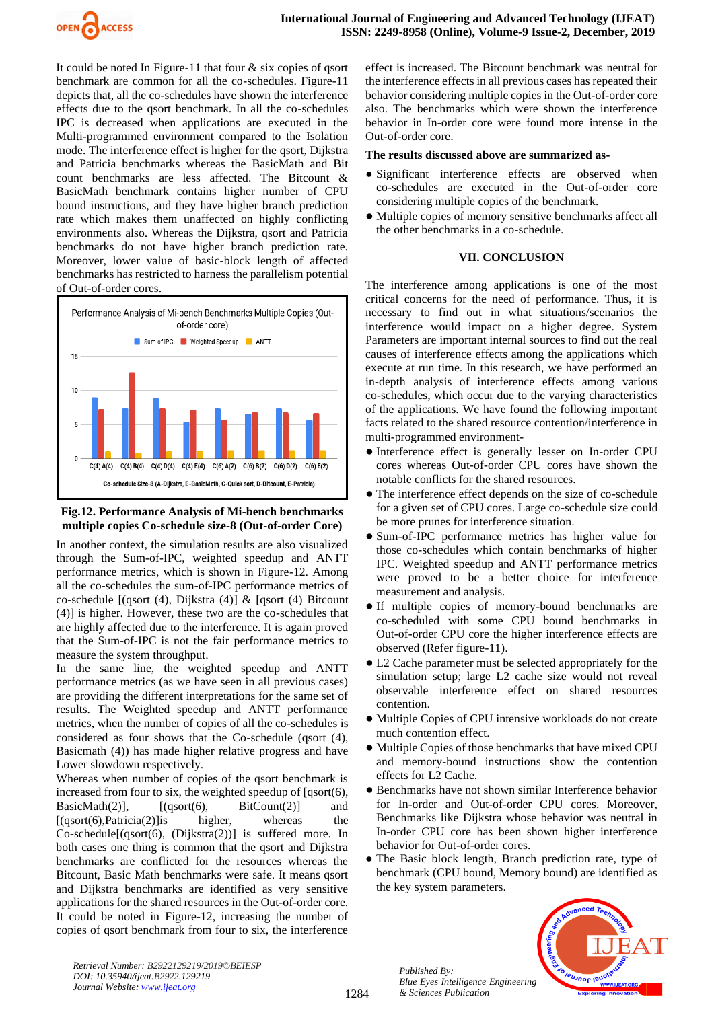

It could be noted In Figure-11 that four  $\&$  six copies of qsort benchmark are common for all the co-schedules. Figure-11 depicts that, all the co-schedules have shown the interference effects due to the qsort benchmark. In all the co-schedules IPC is decreased when applications are executed in the Multi-programmed environment compared to the Isolation mode. The interference effect is higher for the qsort, Dijkstra and Patricia benchmarks whereas the BasicMath and Bit count benchmarks are less affected. The Bitcount & BasicMath benchmark contains higher number of CPU bound instructions, and they have higher branch prediction rate which makes them unaffected on highly conflicting environments also. Whereas the Dijkstra, qsort and Patricia benchmarks do not have higher branch prediction rate. Moreover, lower value of basic-block length of affected benchmarks has restricted to harness the parallelism potential of Out-of-order cores.



## **Fig.12. Performance Analysis of Mi-bench benchmarks multiple copies Co-schedule size-8 (Out-of-order Core)**

In another context, the simulation results are also visualized through the Sum-of-IPC, weighted speedup and ANTT performance metrics, which is shown in Figure-12. Among all the co-schedules the sum-of-IPC performance metrics of co-schedule [(qsort (4), Dijkstra (4)] & [qsort (4) Bitcount (4)] is higher. However, these two are the co-schedules that are highly affected due to the interference. It is again proved that the Sum-of-IPC is not the fair performance metrics to measure the system throughput.

In the same line, the weighted speedup and ANTT performance metrics (as we have seen in all previous cases) are providing the different interpretations for the same set of results. The Weighted speedup and ANTT performance metrics, when the number of copies of all the co-schedules is considered as four shows that the Co-schedule (qsort (4), Basicmath (4)) has made higher relative progress and have Lower slowdown respectively.

Whereas when number of copies of the qsort benchmark is increased from four to six, the weighted speedup of  $[qsort(6)]$ , BasicMath $(2)$ ],  $[(qsort(6), BitCount(2)]$  and  $[(qsort(6),\hat{P}atrical(2)]$  is higher, whereas the Co-schedule[(qsort(6), (Dijkstra(2))] is suffered more. In both cases one thing is common that the qsort and Dijkstra benchmarks are conflicted for the resources whereas the Bitcount, Basic Math benchmarks were safe. It means qsort and Dijkstra benchmarks are identified as very sensitive applications for the shared resources in the Out-of-order core. It could be noted in Figure-12, increasing the number of copies of qsort benchmark from four to six, the interference effect is increased. The Bitcount benchmark was neutral for the interference effects in all previous cases has repeated their behavior considering multiple copies in the Out-of-order core also. The benchmarks which were shown the interference behavior in In-order core were found more intense in the Out-of-order core.

## **The results discussed above are summarized as-**

- Significant interference effects are observed when co-schedules are executed in the Out-of-order core considering multiple copies of the benchmark.
- Multiple copies of memory sensitive benchmarks affect all the other benchmarks in a co-schedule.

## **VII. CONCLUSION**

The interference among applications is one of the most critical concerns for the need of performance. Thus, it is necessary to find out in what situations/scenarios the interference would impact on a higher degree. System Parameters are important internal sources to find out the real causes of interference effects among the applications which execute at run time. In this research, we have performed an in-depth analysis of interference effects among various co-schedules, which occur due to the varying characteristics of the applications. We have found the following important facts related to the shared resource contention/interference in multi-programmed environment-

- Interference effect is generally lesser on In-order CPU cores whereas Out-of-order CPU cores have shown the notable conflicts for the shared resources.
- The interference effect depends on the size of co-schedule for a given set of CPU cores. Large co-schedule size could be more prunes for interference situation.
- Sum-of-IPC performance metrics has higher value for those co-schedules which contain benchmarks of higher IPC. Weighted speedup and ANTT performance metrics were proved to be a better choice for interference measurement and analysis.
- If multiple copies of memory-bound benchmarks are co-scheduled with some CPU bound benchmarks in Out-of-order CPU core the higher interference effects are observed (Refer figure-11).
- L2 Cache parameter must be selected appropriately for the simulation setup; large L2 cache size would not reveal observable interference effect on shared resources contention.
- Multiple Copies of CPU intensive workloads do not create much contention effect.
- Multiple Copies of those benchmarks that have mixed CPU and memory-bound instructions show the contention effects for L2 Cache.
- Benchmarks have not shown similar Interference behavior for In-order and Out-of-order CPU cores. Moreover, Benchmarks like Dijkstra whose behavior was neutral in In-order CPU core has been shown higher interference behavior for Out-of-order cores.
- The Basic block length, Branch prediction rate, type of benchmark (CPU bound, Memory bound) are identified as the key system parameters.



*Retrieval Number: B2922129219/2019©BEIESP DOI: 10.35940/ijeat.B2922.129219 Journal Website: [www.ijeat.org](http://www.ijeat.org/)*

1284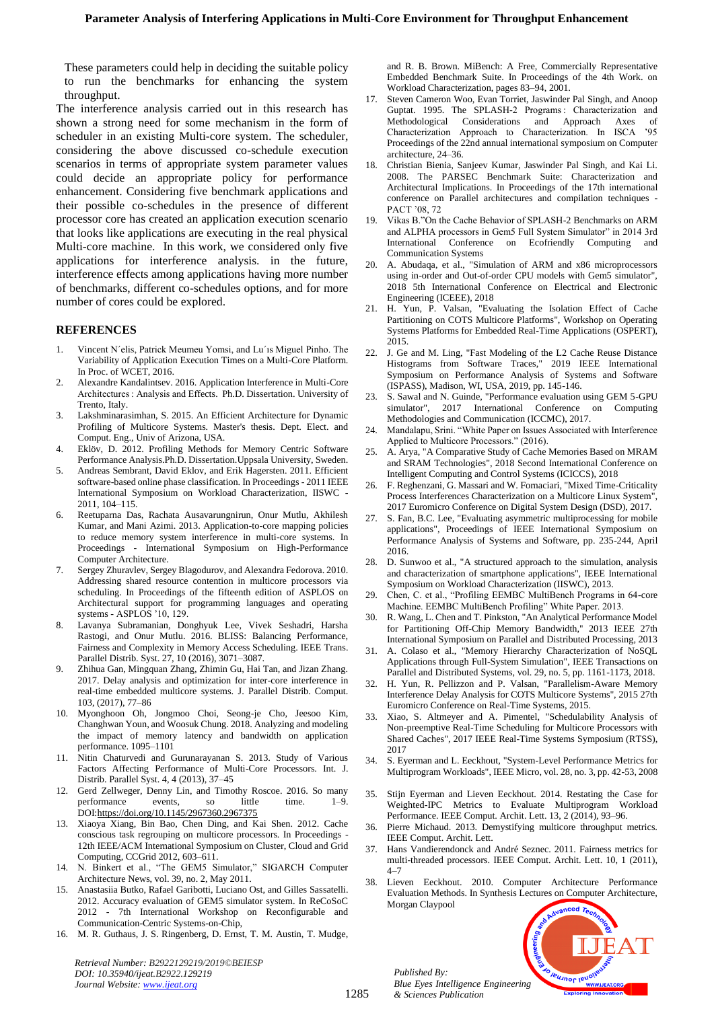These parameters could help in deciding the suitable policy to run the benchmarks for enhancing the system throughput.

The interference analysis carried out in this research has shown a strong need for some mechanism in the form of scheduler in an existing Multi-core system. The scheduler, considering the above discussed co-schedule execution scenarios in terms of appropriate system parameter values could decide an appropriate policy for performance enhancement. Considering five benchmark applications and their possible co-schedules in the presence of different processor core has created an application execution scenario that looks like applications are executing in the real physical Multi-core machine. In this work, we considered only five applications for interference analysis. in the future, interference effects among applications having more number of benchmarks, different co-schedules options, and for more number of cores could be explored.

#### **REFERENCES**

- 1. Vincent N´elis, Patrick Meumeu Yomsi, and Lu´ıs Miguel Pinho. The Variability of Application Execution Times on a Multi-Core Platform. In Proc. of WCET, 2016.
- 2. Alexandre Kandalintsev. 2016. Application Interference in Multi-Core Architectures : Analysis and Effects. Ph.D. Dissertation. University of Trento, Italy.
- 3. Lakshminarasimhan, S. 2015. An Efficient Architecture for Dynamic Profiling of Multicore Systems. Master's thesis. Dept. Elect. and Comput. Eng., Univ of Arizona, USA.
- 4. Eklöv, D. 2012. Profiling Methods for Memory Centric Software Performance Analysis.Ph.D. Dissertation.Uppsala University, Sweden.
- 5. Andreas Sembrant, David Eklov, and Erik Hagersten. 2011. Efficient software-based online phase classification. In Proceedings - 2011 IEEE International Symposium on Workload Characterization, IISWC - 2011, 104–115.
- 6. Reetuparna Das, Rachata Ausavarungnirun, Onur Mutlu, Akhilesh Kumar, and Mani Azimi. 2013. Application-to-core mapping policies to reduce memory system interference in multi-core systems. In Proceedings - International Symposium on High-Performance Computer Architecture.
- 7. Sergey Zhuravlev, Sergey Blagodurov, and Alexandra Fedorova. 2010. Addressing shared resource contention in multicore processors via scheduling. In Proceedings of the fifteenth edition of ASPLOS on Architectural support for programming languages and operating systems - ASPLOS '10, 129.
- 8. Lavanya Subramanian, Donghyuk Lee, Vivek Seshadri, Harsha Rastogi, and Onur Mutlu. 2016. BLISS: Balancing Performance, Fairness and Complexity in Memory Access Scheduling. IEEE Trans. Parallel Distrib. Syst. 27, 10 (2016), 3071–3087.
- 9. Zhihua Gan, Mingquan Zhang, Zhimin Gu, Hai Tan, and Jizan Zhang. 2017. Delay analysis and optimization for inter-core interference in real-time embedded multicore systems. J. Parallel Distrib. Comput. 103, (2017), 77–86
- 10. Myonghoon Oh, Jongmoo Choi, Seong-je Cho, Jeesoo Kim, Changhwan Youn, and Woosuk Chung. 2018. Analyzing and modeling the impact of memory latency and bandwidth on application performance. 1095–1101
- 11. Nitin Chaturvedi and Gurunarayanan S. 2013. Study of Various Factors Affecting Performance of Multi-Core Processors. Int. J. Distrib. Parallel Syst. 4, 4 (2013), 37–45
- 12. Gerd Zellweger, Denny Lin, and Timothy Roscoe. 2016. So many performance events, so little time. 1–9. DO[I:https://doi.org/10.1145/2967360.2967375](https://doi.org/10.1145/2967360.2967375)
- 13. Xiaoya Xiang, Bin Bao, Chen Ding, and Kai Shen. 2012. Cache conscious task regrouping on multicore processors. In Proceedings - 12th IEEE/ACM International Symposium on Cluster, Cloud and Grid Computing, CCGrid 2012, 603–611.
- 14. N. Binkert et al., "The GEM5 Simulator," SIGARCH Computer Architecture News, vol. 39, no. 2, May 2011.
- 15. Anastasiia Butko, Rafael Garibotti, Luciano Ost, and Gilles Sassatelli. 2012. Accuracy evaluation of GEM5 simulator system. In ReCoSoC 2012 - 7th International Workshop on Reconfigurable and Communication-Centric Systems-on-Chip,
- 16. M. R. Guthaus, J. S. Ringenberg, D. Ernst, T. M. Austin, T. Mudge,

*Retrieval Number: B2922129219/2019©BEIESP DOI: 10.35940/ijeat.B2922.129219 Journal Website[: www.ijeat.org](http://www.ijeat.org/)*

and R. B. Brown. MiBench: A Free, Commercially Representative Embedded Benchmark Suite. In Proceedings of the 4th Work. on Workload Characterization, pages 83–94, 2001.

- 17. Steven Cameron Woo, Evan Torriet, Jaswinder Pal Singh, and Anoop Guptat. 1995. The SPLASH-2 Programs: Characterization and Methodological Considerations and Approach Axes of<br>Characterization Approach to Characterization. In ISCA '95 Characterization Approach to Characterization. In ISCA Proceedings of the 22nd annual international symposium on Computer architecture, 24–36.
- 18. Christian Bienia, Sanjeev Kumar, Jaswinder Pal Singh, and Kai Li. 2008. The PARSEC Benchmark Suite: Characterization and Architectural Implications. In Proceedings of the 17th international conference on Parallel architectures and compilation techniques - PACT '08, 72
- 19. Vikas B."On the Cache Behavior of SPLASH-2 Benchmarks on ARM and ALPHA processors in Gem5 Full System Simulator" in 2014 3rd International Conference on Ecofriendly Computing and Communication Systems
- 20. A. Abudaqa, et al., "Simulation of ARM and x86 microprocessors using in-order and Out-of-order CPU models with Gem5 simulator", 2018 5th International Conference on Electrical and Electronic Engineering (ICEEE), 2018
- 21. H. Yun, P. Valsan, "Evaluating the Isolation Effect of Cache Partitioning on COTS Multicore Platforms", Workshop on Operating Systems Platforms for Embedded Real-Time Applications (OSPERT), 2015.
- 22. J. Ge and M. Ling, "Fast Modeling of the L2 Cache Reuse Distance Histograms from Software Traces," 2019 IEEE International Symposium on Performance Analysis of Systems and Software (ISPASS), Madison, WI, USA, 2019, pp. 145-146.
- S. Sawal and N. Guinde, "Performance evaluation using GEM 5-GPU simulator", 2017 International Conference on Computing Methodologies and Communication (ICCMC), 2017.
- 24. Mandalapu, Srini. "White Paper on Issues Associated with Interference Applied to Multicore Processors." (2016).
- 25. A. Arya, "A Comparative Study of Cache Memories Based on MRAM and SRAM Technologies", 2018 Second International Conference on Intelligent Computing and Control Systems (ICICCS), 2018
- 26. F. Reghenzani, G. Massari and W. Fornaciari, "Mixed Time-Criticality Process Interferences Characterization on a Multicore Linux System", 2017 Euromicro Conference on Digital System Design (DSD), 2017.
- 27. S. Fan, B.C. Lee, "Evaluating asymmetric multiprocessing for mobile applications", Proceedings of IEEE International Symposium on Performance Analysis of Systems and Software, pp. 235-244, April 2016.
- 28. D. Sunwoo et al., "A structured approach to the simulation, analysis and characterization of smartphone applications", IEEE International Symposium on Workload Characterization (IISWC), 2013.
- 29. Chen, C. et al., "Profiling EEMBC MultiBench Programs in 64-core Machine. EEMBC MultiBench Profiling" White Paper. 2013.
- 30. R. Wang, L. Chen and T. Pinkston, "An Analytical Performance Model for Partitioning Off-Chip Memory Bandwidth,'' 2013 IEEE 27th International Symposium on Parallel and Distributed Processing, 2013
- 31. A. Colaso et al., "Memory Hierarchy Characterization of NoSQL Applications through Full-System Simulation", IEEE Transactions on Parallel and Distributed Systems, vol. 29, no. 5, pp. 1161-1173, 2018.
- 32. H. Yun, R. Pellizzon and P. Valsan, "Parallelism-Aware Memory Interference Delay Analysis for COTS Multicore Systems", 2015 27th Euromicro Conference on Real-Time Systems, 2015.
- 33. Xiao, S. Altmeyer and A. Pimentel, "Schedulability Analysis of Non-preemptive Real-Time Scheduling for Multicore Processors with Shared Caches", 2017 IEEE Real-Time Systems Symposium (RTSS), 2017
- 34. S. Eyerman and L. Eeckhout, "System-Level Performance Metrics for Multiprogram Workloads", IEEE Micro, vol. 28, no. 3, pp. 42-53, 2008
- 35. Stijn Eyerman and Lieven Eeckhout. 2014. Restating the Case for Weighted-IPC Metrics to Evaluate Multiprogram Workload Performance. IEEE Comput. Archit. Lett. 13, 2 (2014), 93–96.
- 36. Pierre Michaud. 2013. Demystifying multicore throughput metrics. IEEE Comput. Archit. Lett.
- 37. Hans Vandierendonck and André Seznec. 2011. Fairness metrics for multi-threaded processors. IEEE Comput. Archit. Lett. 10, 1 (2011),  $4 - 7$
- 38. Lieven Eeckhout. 2010. Computer Architecture Performance Evaluation Methods. In Synthesis Lectures on Computer Architecture, Morgan Claypool



*Published By: Blue Eyes Intelligence Engineering & Sciences Publication*